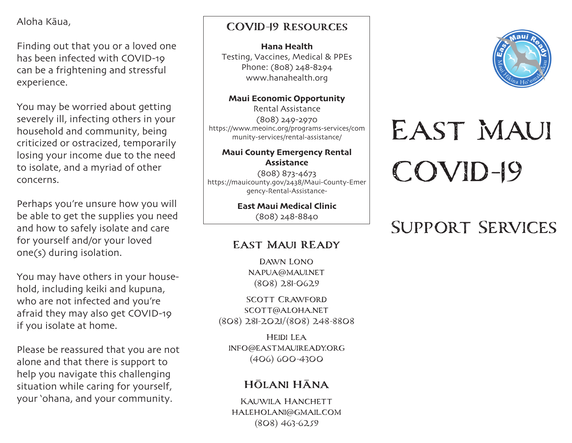Aloha Kāua,

Finding out that you or a loved one has been infected with COVID-19 can be a frightening and stressful experience.

You may be worried about getting severely ill, infecting others in your household and community, being criticized or ostracized, temporarily losing your income due to the need to isolate, and a myriad of other concerns.

Perhaps you're unsure how you will be able to get the supplies you need and how to safely isolate and care for yourself and/or your loved one(s) during isolation.

You may have others in your household, including keiki and kupuna, who are not infected and you're afraid they may also get COVID-19 if you isolate at home.

Please be reassured that you are not alone and that there is support to help you navigate this challenging situation while caring for yourself, your 'ohana, and your community.

# **COVID-19 Resources**

Hana Health Testing, Vaccines, Medical & PPEs Phone: (808) 248-8294 www.hanahealth.org

Maui Economic Opportunity Rental Assistance (808) 249-2970 https://www.meoinc.org/programs-services/com munity-services/rental-assistance/

### Maui County Emergency Rental Assistance

(808) 873-4673 https://mauicounty.gov/2438/Maui-County-Emer gency-Rental-Assistance-

> East Maui Medical Clinic (808) 248-8840

# **East Maui REady**

Dawn Lono napua@maui.net (808) 281-0629

Scott Crawford scott@aloha.net (808) 281-2021/(808) 248-8808

Heidi Lea info@eastmauiready.org (406) 600-4300

# **Hōlani Hāna**

Kauwila Hanchett haleholani@gmail.com (808) 463-6259



# East Maui COVID-19

# Support Services